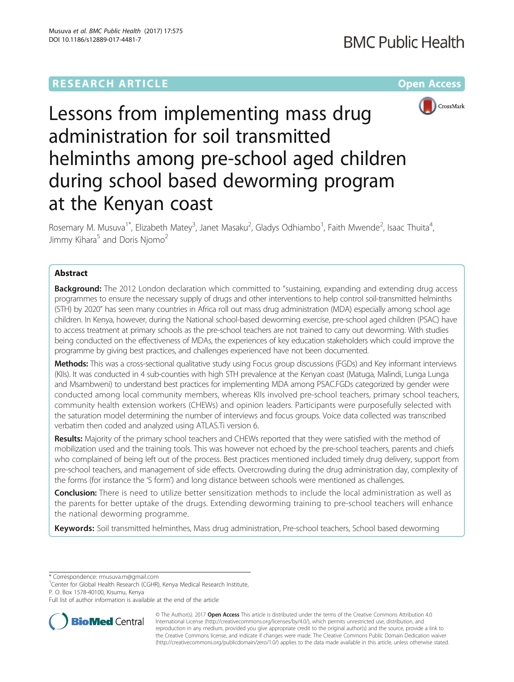# **RESEARCH ARTICLE Example 2014 12:30 The Company Access** (RESEARCH ARTICLE



# Lessons from implementing mass drug administration for soil transmitted helminths among pre-school aged children during school based deworming program at the Kenyan coast

Rosemary M. Musuva<sup>1\*</sup>, Elizabeth Matey<sup>3</sup>, Janet Masaku<sup>2</sup>, Gladys Odhiambo<sup>1</sup>, Faith Mwende<sup>2</sup>, Isaac Thuita<sup>4</sup> , Jimmy Kihara<sup>5</sup> and Doris Njomo<sup>2</sup>

# Abstract

**Background:** The 2012 London declaration which committed to "sustaining, expanding and extending drug access programmes to ensure the necessary supply of drugs and other interventions to help control soil-transmitted helminths (STH) by 2020" has seen many countries in Africa roll out mass drug administration (MDA) especially among school age children. In Kenya, however, during the National school-based deworming exercise, pre-school aged children (PSAC) have to access treatment at primary schools as the pre-school teachers are not trained to carry out deworming. With studies being conducted on the effectiveness of MDAs, the experiences of key education stakeholders which could improve the programme by giving best practices, and challenges experienced have not been documented.

Methods: This was a cross-sectional qualitative study using Focus group discussions (FGDs) and Key informant interviews (KIIs). It was conducted in 4 sub-counties with high STH prevalence at the Kenyan coast (Matuga, Malindi, Lunga Lunga and Msambweni) to understand best practices for implementing MDA among PSAC.FGDs categorized by gender were conducted among local community members, whereas KIIs involved pre-school teachers, primary school teachers, community health extension workers (CHEWs) and opinion leaders. Participants were purposefully selected with the saturation model determining the number of interviews and focus groups. Voice data collected was transcribed verbatim then coded and analyzed using ATLAS.Ti version 6.

Results: Majority of the primary school teachers and CHEWs reported that they were satisfied with the method of mobilization used and the training tools. This was however not echoed by the pre-school teachers, parents and chiefs who complained of being left out of the process. Best practices mentioned included timely drug delivery, support from pre-school teachers, and management of side effects. Overcrowding during the drug administration day, complexity of the forms (for instance the 'S form') and long distance between schools were mentioned as challenges.

Conclusion: There is need to utilize better sensitization methods to include the local administration as well as the parents for better uptake of the drugs. Extending deworming training to pre-school teachers will enhance the national deworming programme.

Keywords: Soil transmitted helminthes, Mass drug administration, Pre-school teachers, School based deworming

\* Correspondence: [rmusuva.m@gmail.com](mailto:rmusuva.m@gmail.com) <sup>1</sup>

<sup>1</sup>Center for Global Health Research (CGHR), Kenya Medical Research Institute, P. O. Box 1578-40100, Kisumu, Kenya

Full list of author information is available at the end of the article



© The Author(s). 2017 **Open Access** This article is distributed under the terms of the Creative Commons Attribution 4.0 International License [\(http://creativecommons.org/licenses/by/4.0/](http://creativecommons.org/licenses/by/4.0/)), which permits unrestricted use, distribution, and reproduction in any medium, provided you give appropriate credit to the original author(s) and the source, provide a link to the Creative Commons license, and indicate if changes were made. The Creative Commons Public Domain Dedication waiver [\(http://creativecommons.org/publicdomain/zero/1.0/](http://creativecommons.org/publicdomain/zero/1.0/)) applies to the data made available in this article, unless otherwise stated.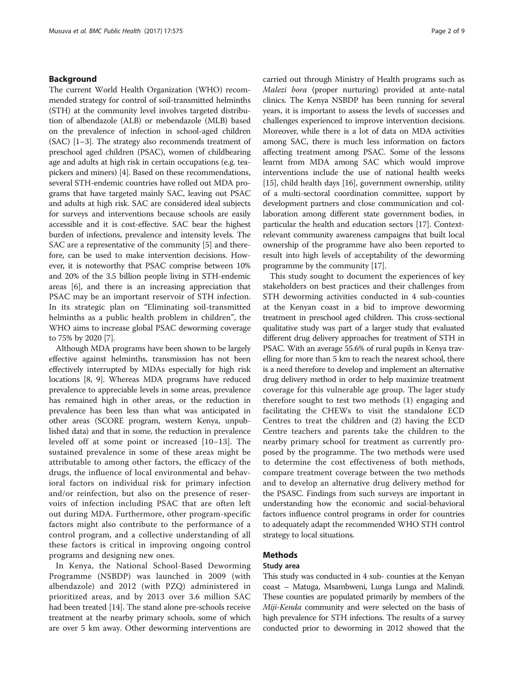# Background

The current World Health Organization (WHO) recommended strategy for control of soil-transmitted helminths (STH) at the community level involves targeted distribution of albendazole (ALB) or mebendazole (MLB) based on the prevalence of infection in school-aged children (SAC) [[1](#page-8-0)–[3](#page-8-0)]. The strategy also recommends treatment of preschool aged children (PSAC), women of childbearing age and adults at high risk in certain occupations (e.g. teapickers and miners) [\[4](#page-8-0)]. Based on these recommendations, several STH-endemic countries have rolled out MDA programs that have targeted mainly SAC, leaving out PSAC and adults at high risk. SAC are considered ideal subjects for surveys and interventions because schools are easily accessible and it is cost-effective. SAC bear the highest burden of infections, prevalence and intensity levels. The SAC are a representative of the community [[5\]](#page-8-0) and therefore, can be used to make intervention decisions. However, it is noteworthy that PSAC comprise between 10% and 20% of the 3.5 billion people living in STH-endemic areas [[6](#page-8-0)], and there is an increasing appreciation that PSAC may be an important reservoir of STH infection. In its strategic plan on "Eliminating soil-transmitted helminths as a public health problem in children", the WHO aims to increase global PSAC deworming coverage to 75% by 2020 [\[7](#page-8-0)].

Although MDA programs have been shown to be largely effective against helminths, transmission has not been effectively interrupted by MDAs especially for high risk locations [\[8, 9](#page-8-0)]. Whereas MDA programs have reduced prevalence to appreciable levels in some areas, prevalence has remained high in other areas, or the reduction in prevalence has been less than what was anticipated in other areas (SCORE program, western Kenya, unpublished data) and that in some, the reduction in prevalence leveled off at some point or increased [[10](#page-8-0)–[13](#page-8-0)]. The sustained prevalence in some of these areas might be attributable to among other factors, the efficacy of the drugs, the influence of local environmental and behavioral factors on individual risk for primary infection and/or reinfection, but also on the presence of reservoirs of infection including PSAC that are often left out during MDA. Furthermore, other program-specific factors might also contribute to the performance of a control program, and a collective understanding of all these factors is critical in improving ongoing control programs and designing new ones.

In Kenya, the National School-Based Deworming Programme (NSBDP) was launched in 2009 (with albendazole) and 2012 (with PZQ) administered in prioritized areas, and by 2013 over 3.6 million SAC had been treated [\[14](#page-8-0)]. The stand alone pre-schools receive treatment at the nearby primary schools, some of which are over 5 km away. Other deworming interventions are carried out through Ministry of Health programs such as Malezi bora (proper nurturing) provided at ante-natal clinics. The Kenya NSBDP has been running for several years, it is important to assess the levels of successes and challenges experienced to improve intervention decisions. Moreover, while there is a lot of data on MDA activities among SAC, there is much less information on factors affecting treatment among PSAC. Some of the lessons learnt from MDA among SAC which would improve interventions include the use of national health weeks [[15](#page-8-0)], child health days [[16](#page-8-0)], government ownership, utility of a multi-sectoral coordination committee, support by development partners and close communication and collaboration among different state government bodies, in particular the health and education sectors [\[17\]](#page-8-0). Contextrelevant community awareness campaigns that built local ownership of the programme have also been reported to result into high levels of acceptability of the deworming programme by the community [\[17\]](#page-8-0).

This study sought to document the experiences of key stakeholders on best practices and their challenges from STH deworming activities conducted in 4 sub-counties at the Kenyan coast in a bid to improve deworming treatment in preschool aged children. This cross-sectional qualitative study was part of a larger study that evaluated different drug delivery approaches for treatment of STH in PSAC. With an average 55.6% of rural pupils in Kenya travelling for more than 5 km to reach the nearest school, there is a need therefore to develop and implement an alternative drug delivery method in order to help maximize treatment coverage for this vulnerable age group. The lager study therefore sought to test two methods (1) engaging and facilitating the CHEWs to visit the standalone ECD Centres to treat the children and (2) having the ECD Centre teachers and parents take the children to the nearby primary school for treatment as currently proposed by the programme. The two methods were used to determine the cost effectiveness of both methods, compare treatment coverage between the two methods and to develop an alternative drug delivery method for the PSASC. Findings from such surveys are important in understanding how the economic and social-behavioral factors influence control programs in order for countries to adequately adapt the recommended WHO STH control strategy to local situations.

# Methods

# Study area

This study was conducted in 4 sub- counties at the Kenyan coast – Matuga, Msambweni, Lunga Lunga and Malindi. These counties are populated primarily by members of the Miji-Kenda community and were selected on the basis of high prevalence for STH infections. The results of a survey conducted prior to deworming in 2012 showed that the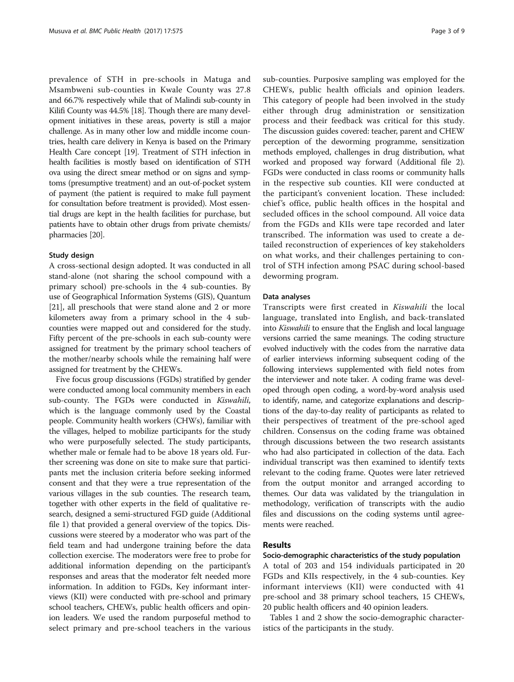prevalence of STH in pre-schools in Matuga and Msambweni sub-counties in Kwale County was 27.8 and 66.7% respectively while that of Malindi sub-county in Kilifi County was  $44.5\%$  [\[18](#page-8-0)]. Though there are many development initiatives in these areas, poverty is still a major challenge. As in many other low and middle income countries, health care delivery in Kenya is based on the Primary Health Care concept [[19](#page-8-0)]. Treatment of STH infection in health facilities is mostly based on identification of STH ova using the direct smear method or on signs and symptoms (presumptive treatment) and an out-of-pocket system of payment (the patient is required to make full payment for consultation before treatment is provided). Most essential drugs are kept in the health facilities for purchase, but patients have to obtain other drugs from private chemists/ pharmacies [[20](#page-8-0)].

# Study design

A cross-sectional design adopted. It was conducted in all stand-alone (not sharing the school compound with a primary school) pre-schools in the 4 sub-counties. By use of Geographical Information Systems (GIS), Quantum [[21](#page-8-0)], all preschools that were stand alone and 2 or more kilometers away from a primary school in the 4 subcounties were mapped out and considered for the study. Fifty percent of the pre-schools in each sub-county were assigned for treatment by the primary school teachers of the mother/nearby schools while the remaining half were assigned for treatment by the CHEWs.

Five focus group discussions (FGDs) stratified by gender were conducted among local community members in each sub-county. The FGDs were conducted in Kiswahili, which is the language commonly used by the Coastal people. Community health workers (CHWs), familiar with the villages, helped to mobilize participants for the study who were purposefully selected. The study participants, whether male or female had to be above 18 years old. Further screening was done on site to make sure that participants met the inclusion criteria before seeking informed consent and that they were a true representation of the various villages in the sub counties. The research team, together with other experts in the field of qualitative research, designed a semi-structured FGD guide (Additional file [1\)](#page-7-0) that provided a general overview of the topics. Discussions were steered by a moderator who was part of the field team and had undergone training before the data collection exercise. The moderators were free to probe for additional information depending on the participant's responses and areas that the moderator felt needed more information. In addition to FGDs, Key informant interviews (KII) were conducted with pre-school and primary school teachers, CHEWs, public health officers and opinion leaders. We used the random purposeful method to select primary and pre-school teachers in the various sub-counties. Purposive sampling was employed for the CHEWs, public health officials and opinion leaders. This category of people had been involved in the study either through drug administration or sensitization process and their feedback was critical for this study. The discussion guides covered: teacher, parent and CHEW perception of the deworming programme, sensitization methods employed, challenges in drug distribution, what worked and proposed way forward (Additional file [2](#page-7-0)). FGDs were conducted in class rooms or community halls in the respective sub counties. KII were conducted at the participant's convenient location. These included: chief's office, public health offices in the hospital and secluded offices in the school compound. All voice data from the FGDs and KIIs were tape recorded and later transcribed. The information was used to create a detailed reconstruction of experiences of key stakeholders on what works, and their challenges pertaining to control of STH infection among PSAC during school-based deworming program.

#### Data analyses

Transcripts were first created in Kiswahili the local language, translated into English, and back-translated into Kiswahili to ensure that the English and local language versions carried the same meanings. The coding structure evolved inductively with the codes from the narrative data of earlier interviews informing subsequent coding of the following interviews supplemented with field notes from the interviewer and note taker. A coding frame was developed through open coding, a word-by-word analysis used to identify, name, and categorize explanations and descriptions of the day-to-day reality of participants as related to their perspectives of treatment of the pre-school aged children. Consensus on the coding frame was obtained through discussions between the two research assistants who had also participated in collection of the data. Each individual transcript was then examined to identify texts relevant to the coding frame. Quotes were later retrieved from the output monitor and arranged according to themes. Our data was validated by the triangulation in methodology, verification of transcripts with the audio files and discussions on the coding systems until agreements were reached.

# Results

# Socio-demographic characteristics of the study population

A total of 203 and 154 individuals participated in 20 FGDs and KIIs respectively, in the 4 sub-counties. Key informant interviews (KII) were conducted with 41 pre-school and 38 primary school teachers, 15 CHEWs, 20 public health officers and 40 opinion leaders.

Tables [1](#page-3-0) and [2](#page-3-0) show the socio-demographic characteristics of the participants in the study.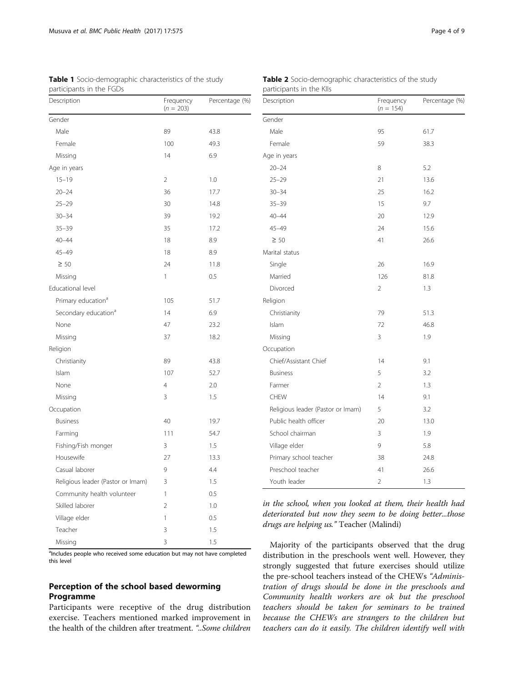# Perception of the school based deworming Programme

Participants were receptive of the drug distribution exercise. Teachers mentioned marked improvement in the health of the children after treatment. "..Some children

<span id="page-3-0"></span>

| <b>Table 1</b> Socio-demographic characteristics of the study |  |
|---------------------------------------------------------------|--|
| participants in the FGDs                                      |  |

Casual laborer 9 4.4 Religious leader (Pastor or Imam) 3 1.5 Community health volunteer and the community health volunteer and the 1 0.5 Skilled laborer 2 2 1.0 Village elder 1 0.5 Teacher 3 1.5 Missing 3 1.5

| escription                        | Frequency<br>$(n = 203)$ | Percentage (%) | Description                                             | Frequency<br>$(n = 154)$ | Percentage (%) |
|-----------------------------------|--------------------------|----------------|---------------------------------------------------------|--------------------------|----------------|
| ender                             |                          |                | Gender                                                  |                          |                |
| Male                              | 89                       | 43.8           | Male                                                    | 95                       | 61.7           |
| Female                            | 100                      | 49.3           | Female                                                  | 59                       | 38.3           |
| Missing                           | 14                       | 6.9            | Age in years                                            |                          |                |
| ge in years                       |                          |                | $20 - 24$                                               | 8                        | 5.2            |
| $15 - 19$                         | $\overline{2}$           | 1.0            | $25 - 29$                                               | 21                       | 13.6           |
| $20 - 24$                         | 36                       | 17.7           | $30 - 34$                                               | 25                       | 16.2           |
| $25 - 29$                         | 30                       | 14.8           | $35 - 39$                                               | 15                       | 9.7            |
| $30 - 34$                         | 39                       | 19.2           | $40 - 44$                                               | 20                       | 12.9           |
| $35 - 39$                         | 35                       | 17.2           | $45 - 49$                                               | 24                       | 15.6           |
| $40 - 44$                         | 18                       | 8.9            | $\geq 50$                                               | 41                       | 26.6           |
| $45 - 49$                         | 18                       | 8.9            | Marital status                                          |                          |                |
| $\geq 50$                         | 24                       | 11.8           | Single                                                  | 26                       | 16.9           |
| Missing                           | 1                        | $0.5\,$        | Married                                                 | 126                      | 81.8           |
| ducational level                  |                          |                | Divorced                                                | $\overline{2}$           | 1.3            |
| Primary education <sup>a</sup>    | 105                      | 51.7           | Religion                                                |                          |                |
| Secondary education <sup>a</sup>  | 14                       | 6.9            | Christianity                                            | 79                       | 51.3           |
| None                              | 47                       | 23.2           | Islam                                                   | 72                       | 46.8           |
| Missing                           | 37                       | 18.2           | Missing                                                 | 3                        | 1.9            |
| eligion                           |                          |                | Occupation                                              |                          |                |
| Christianity                      | 89                       | 43.8           | Chief/Assistant Chief                                   | 14                       | 9.1            |
| Islam                             | 107                      | 52.7           | <b>Business</b>                                         | 5                        | 3.2            |
| None                              | 4                        | 2.0            | Farmer                                                  | $\overline{2}$           | 1.3            |
| Missing                           | 3                        | 1.5            | CHEW                                                    | 14                       | 9.1            |
| ccupation                         |                          |                | Religious leader (Pastor or Imam)                       | 5                        | 3.2            |
| <b>Business</b>                   | 40                       | 19.7           | Public health officer                                   | 20                       | 13.0           |
| Farming                           | 111                      | 54.7           | School chairman                                         | 3                        | 1.9            |
| Fishing/Fish monger               | 3                        | 1.5            | Village elder                                           | 9                        | 5.8            |
| Housewife                         | 27                       | 13.3           | Primary school teacher                                  | 38                       | 24.8           |
| Casual laborer                    | 9                        | 4.4            | Preschool teacher                                       | 41                       | 26.6           |
| Religious leader (Pastor or Imam) | 3                        | 1.5            | Youth leader                                            | $\overline{2}$           | 1.3            |
| Community health volunteer        | 1                        | 0.5            |                                                         |                          |                |
|                                   |                          |                | in the calcoal whom you looked at thour thoir health ha |                          |                |

Table 2 Socio-demographic characteristics of the study

participants in the KIIs

in the school, when you looked at them, their health had deteriorated but now they seem to be doing better...those drugs are helping us." Teacher (Malindi)

Majority of the participants observed that the drug distribution in the preschools went well. However, they strongly suggested that future exercises should utilize the pre-school teachers instead of the CHEWs "Administration of drugs should be done in the preschools and Community health workers are ok but the preschool teachers should be taken for seminars to be trained because the CHEWs are strangers to the children but teachers can do it easily. The children identify well with

Gender

Age in years

Educational level

Religion

**Occupation**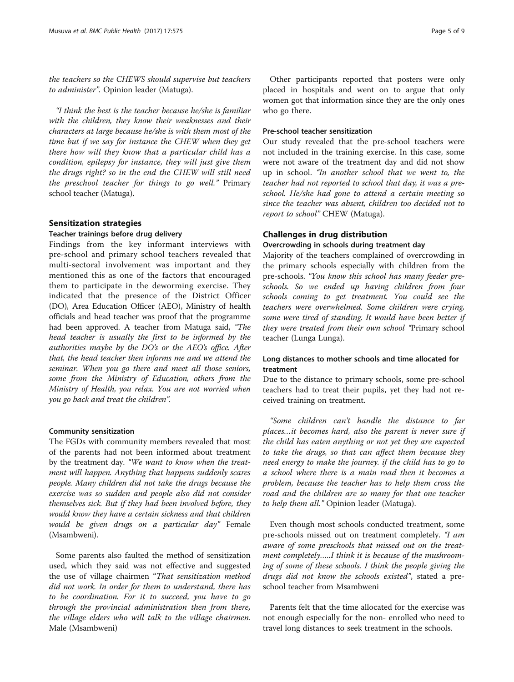the teachers so the CHEWS should supervise but teachers to administer". Opinion leader (Matuga).

"I think the best is the teacher because he/she is familiar with the children, they know their weaknesses and their characters at large because he/she is with them most of the time but if we say for instance the CHEW when they get there how will they know that a particular child has a condition, epilepsy for instance, they will just give them the drugs right? so in the end the CHEW will still need the preschool teacher for things to go well." Primary school teacher (Matuga).

# Sensitization strategies

# Teacher trainings before drug delivery

Findings from the key informant interviews with pre-school and primary school teachers revealed that multi-sectoral involvement was important and they mentioned this as one of the factors that encouraged them to participate in the deworming exercise. They indicated that the presence of the District Officer (DO), Area Education Officer (AEO), Ministry of health officials and head teacher was proof that the programme had been approved. A teacher from Matuga said, "The head teacher is usually the first to be informed by the authorities maybe by the DO's or the AEO's office. After that, the head teacher then informs me and we attend the seminar. When you go there and meet all those seniors, some from the Ministry of Education, others from the Ministry of Health, you relax. You are not worried when you go back and treat the children".

#### Community sensitization

The FGDs with community members revealed that most of the parents had not been informed about treatment by the treatment day. "We want to know when the treatment will happen. Anything that happens suddenly scares people. Many children did not take the drugs because the exercise was so sudden and people also did not consider themselves sick. But if they had been involved before, they would know they have a certain sickness and that children would be given drugs on a particular day" Female (Msambweni).

Some parents also faulted the method of sensitization used, which they said was not effective and suggested the use of village chairmen "That sensitization method did not work. In order for them to understand, there has to be coordination. For it to succeed, you have to go through the provincial administration then from there, the village elders who will talk to the village chairmen. Male (Msambweni)

Other participants reported that posters were only placed in hospitals and went on to argue that only women got that information since they are the only ones who go there.

# Pre-school teacher sensitization

Our study revealed that the pre-school teachers were not included in the training exercise. In this case, some were not aware of the treatment day and did not show up in school. "In another school that we went to, the teacher had not reported to school that day, it was a preschool. He/she had gone to attend a certain meeting so since the teacher was absent, children too decided not to report to school" CHEW (Matuga).

# Challenges in drug distribution

## Overcrowding in schools during treatment day

Majority of the teachers complained of overcrowding in the primary schools especially with children from the pre-schools. "You know this school has many feeder preschools. So we ended up having children from four schools coming to get treatment. You could see the teachers were overwhelmed. Some children were crying, some were tired of standing. It would have been better if they were treated from their own school "Primary school teacher (Lunga Lunga).

# Long distances to mother schools and time allocated for treatment

Due to the distance to primary schools, some pre-school teachers had to treat their pupils, yet they had not received training on treatment.

"Some children can't handle the distance to far places…it becomes hard, also the parent is never sure if the child has eaten anything or not yet they are expected to take the drugs, so that can affect them because they need energy to make the journey. if the child has to go to a school where there is a main road then it becomes a problem, because the teacher has to help them cross the road and the children are so many for that one teacher to help them all." Opinion leader (Matuga).

Even though most schools conducted treatment, some pre-schools missed out on treatment completely. "I am aware of some preschools that missed out on the treatment completely…..I think it is because of the mushrooming of some of these schools. I think the people giving the drugs did not know the schools existed", stated a preschool teacher from Msambweni

Parents felt that the time allocated for the exercise was not enough especially for the non- enrolled who need to travel long distances to seek treatment in the schools.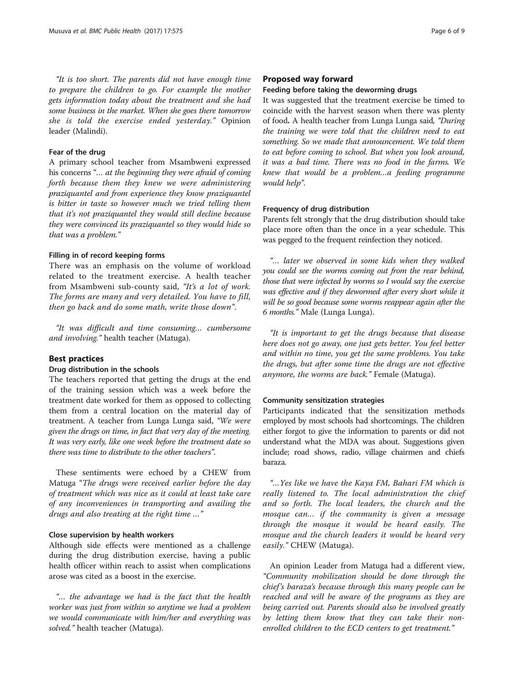"It is too short. The parents did not have enough time to prepare the children to go. For example the mother gets information today about the treatment and she had some business in the market. When she goes there tomorrow she is told the exercise ended yesterday." Opinion leader (Malindi).

# Fear of the drug

A primary school teacher from Msambweni expressed his concerns "... at the beginning they were afraid of coming forth because them they knew we were administering praziquantel and from experience they know praziquantel is bitter in taste so however much we tried telling them that it's not praziquantel they would still decline because they were convinced its praziquantel so they would hide so that was a problem."

# Filling in of record keeping forms

There was an emphasis on the volume of workload related to the treatment exercise. A health teacher from Msambweni sub-county said, "It's a lot of work. The forms are many and very detailed. You have to fill, then go back and do some math, write those down".

"It was difficult and time consuming… cumbersome and involving." health teacher (Matuga).

# Best practices

### Drug distribution in the schools

The teachers reported that getting the drugs at the end of the training session which was a week before the treatment date worked for them as opposed to collecting them from a central location on the material day of treatment. A teacher from Lunga Lunga said, "We were given the drugs on time, in fact that very day of the meeting. It was very early, like one week before the treatment date so there was time to distribute to the other teachers".

These sentiments were echoed by a CHEW from Matuga "The drugs were received earlier before the day of treatment which was nice as it could at least take care of any inconveniences in transporting and availing the drugs and also treating at the right time …"

# Close supervision by health workers

Although side effects were mentioned as a challenge during the drug distribution exercise, having a public health officer within reach to assist when complications arose was cited as a boost in the exercise.

"… the advantage we had is the fact that the health worker was just from within so anytime we had a problem we would communicate with him/her and everything was solved." health teacher (Matuga).

# Proposed way forward

# Feeding before taking the deworming drugs

It was suggested that the treatment exercise be timed to coincide with the harvest season when there was plenty of food. A health teacher from Lunga Lunga said, "During the training we were told that the children need to eat something. So we made that announcement. We told them to eat before coming to school. But when you look around, it was a bad time. There was no food in the farms. We knew that would be a problem…a feeding programme would help".

#### Frequency of drug distribution

Parents felt strongly that the drug distribution should take place more often than the once in a year schedule. This was pegged to the frequent reinfection they noticed.

"… later we observed in some kids when they walked you could see the worms coming out from the rear behind, those that were infected by worms so I would say the exercise was effective and if they dewormed after every short while it will be so good because some worms reappear again after the 6 months." Male (Lunga Lunga).

"It is important to get the drugs because that disease here does not go away, one just gets better. You feel better and within no time, you get the same problems. You take the drugs, but after some time the drugs are not effective anymore, the worms are back." Female (Matuga).

# Community sensitization strategies

Participants indicated that the sensitization methods employed by most schools had shortcomings. The children either forgot to give the information to parents or did not understand what the MDA was about. Suggestions given include; road shows, radio, village chairmen and chiefs baraza.

"…Yes like we have the Kaya FM, Bahari FM which is really listened to. The local administration the chief and so forth. The local leaders, the church and the mosque can… if the community is given a message through the mosque it would be heard easily. The mosque and the church leaders it would be heard very easily." CHEW (Matuga).

An opinion Leader from Matuga had a different view, "Community mobilization should be done through the chief's baraza's because through this many people can be reached and will be aware of the programs as they are being carried out. Parents should also be involved greatly by letting them know that they can take their nonenrolled children to the ECD centers to get treatment."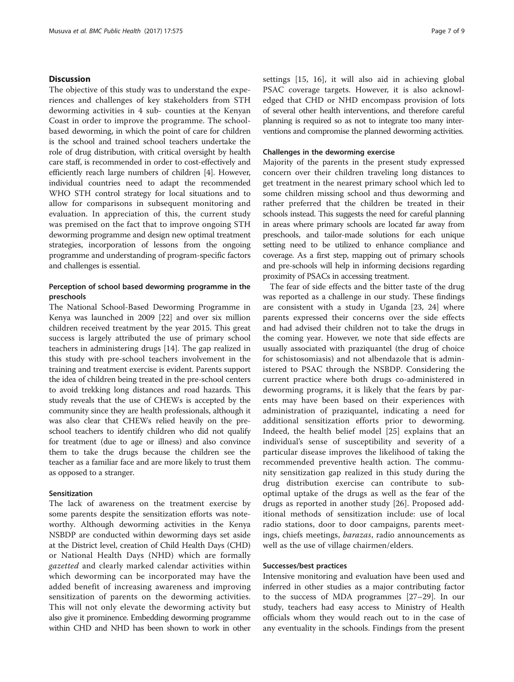# **Discussion**

The objective of this study was to understand the experiences and challenges of key stakeholders from STH deworming activities in 4 sub- counties at the Kenyan Coast in order to improve the programme. The schoolbased deworming, in which the point of care for children is the school and trained school teachers undertake the role of drug distribution, with critical oversight by health care staff, is recommended in order to cost-effectively and efficiently reach large numbers of children [\[4](#page-8-0)]. However, individual countries need to adapt the recommended WHO STH control strategy for local situations and to allow for comparisons in subsequent monitoring and evaluation. In appreciation of this, the current study was premised on the fact that to improve ongoing STH deworming programme and design new optimal treatment strategies, incorporation of lessons from the ongoing programme and understanding of program-specific factors and challenges is essential.

# Perception of school based deworming programme in the preschools

The National School-Based Deworming Programme in Kenya was launched in 2009 [[22\]](#page-8-0) and over six million children received treatment by the year 2015. This great success is largely attributed the use of primary school teachers in administering drugs [14]. The gap realized in this study with pre-school teachers involvement in the training and treatment exercise is evident. Parents support the idea of children being treated in the pre-school centers to avoid trekking long distances and road hazards. This study reveals that the use of CHEWs is accepted by the community since they are health professionals, although it was also clear that CHEWs relied heavily on the preschool teachers to identify children who did not qualify for treatment (due to age or illness) and also convince them to take the drugs because the children see the teacher as a familiar face and are more likely to trust them as opposed to a stranger.

# Sensitization

The lack of awareness on the treatment exercise by some parents despite the sensitization efforts was noteworthy. Although deworming activities in the Kenya NSBDP are conducted within deworming days set aside at the District level, creation of Child Health Days (CHD) or National Health Days (NHD) which are formally gazetted and clearly marked calendar activities within which deworming can be incorporated may have the added benefit of increasing awareness and improving sensitization of parents on the deworming activities. This will not only elevate the deworming activity but also give it prominence. Embedding deworming programme within CHD and NHD has been shown to work in other settings [\[15](#page-8-0), [16\]](#page-8-0), it will also aid in achieving global PSAC coverage targets. However, it is also acknowledged that CHD or NHD encompass provision of lots of several other health interventions, and therefore careful planning is required so as not to integrate too many interventions and compromise the planned deworming activities.

# Challenges in the deworming exercise

Majority of the parents in the present study expressed concern over their children traveling long distances to get treatment in the nearest primary school which led to some children missing school and thus deworming and rather preferred that the children be treated in their schools instead. This suggests the need for careful planning in areas where primary schools are located far away from preschools, and tailor-made solutions for each unique setting need to be utilized to enhance compliance and coverage. As a first step, mapping out of primary schools and pre-schools will help in informing decisions regarding proximity of PSACs in accessing treatment.

The fear of side effects and the bitter taste of the drug was reported as a challenge in our study. These findings are consistent with a study in Uganda [\[23](#page-8-0), [24\]](#page-8-0) where parents expressed their concerns over the side effects and had advised their children not to take the drugs in the coming year. However, we note that side effects are usually associated with praziquantel (the drug of choice for schistosomiasis) and not albendazole that is administered to PSAC through the NSBDP. Considering the current practice where both drugs co-administered in deworming programs, it is likely that the fears by parents may have been based on their experiences with administration of praziquantel, indicating a need for additional sensitization efforts prior to deworming. Indeed, the health belief model [\[25](#page-8-0)] explains that an individual's sense of susceptibility and severity of a particular disease improves the likelihood of taking the recommended preventive health action. The community sensitization gap realized in this study during the drug distribution exercise can contribute to suboptimal uptake of the drugs as well as the fear of the drugs as reported in another study [[26\]](#page-8-0). Proposed additional methods of sensitization include: use of local radio stations, door to door campaigns, parents meetings, chiefs meetings, barazas, radio announcements as well as the use of village chairmen/elders.

# Successes/best practices

Intensive monitoring and evaluation have been used and inferred in other studies as a major contributing factor to the success of MDA programmes [\[27](#page-8-0)–[29\]](#page-8-0). In our study, teachers had easy access to Ministry of Health officials whom they would reach out to in the case of any eventuality in the schools. Findings from the present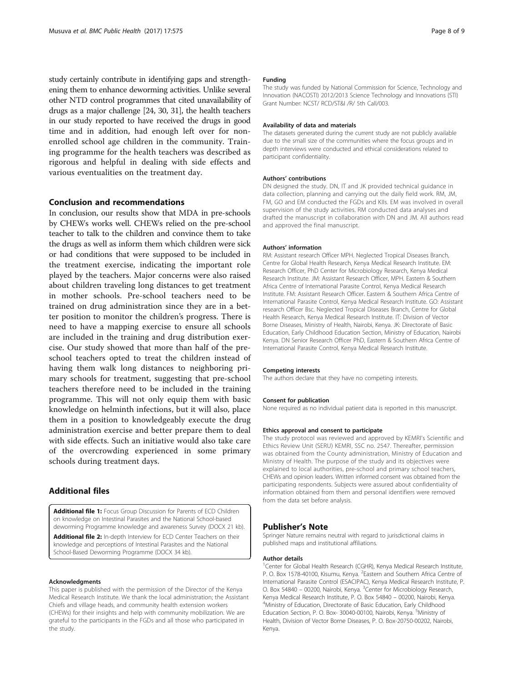<span id="page-7-0"></span>study certainly contribute in identifying gaps and strengthening them to enhance deworming activities. Unlike several other NTD control programmes that cited unavailability of drugs as a major challenge [[24](#page-8-0), [30, 31](#page-8-0)], the health teachers in our study reported to have received the drugs in good time and in addition, had enough left over for nonenrolled school age children in the community. Training programme for the health teachers was described as rigorous and helpful in dealing with side effects and various eventualities on the treatment day.

# Conclusion and recommendations

In conclusion, our results show that MDA in pre-schools by CHEWs works well. CHEWs relied on the pre-school teacher to talk to the children and convince them to take the drugs as well as inform them which children were sick or had conditions that were supposed to be included in the treatment exercise, indicating the important role played by the teachers. Major concerns were also raised about children traveling long distances to get treatment in mother schools. Pre-school teachers need to be trained on drug administration since they are in a better position to monitor the children's progress. There is need to have a mapping exercise to ensure all schools are included in the training and drug distribution exercise. Our study showed that more than half of the preschool teachers opted to treat the children instead of having them walk long distances to neighboring primary schools for treatment, suggesting that pre-school teachers therefore need to be included in the training programme. This will not only equip them with basic knowledge on helminth infections, but it will also, place them in a position to knowledgeably execute the drug administration exercise and better prepare them to deal with side effects. Such an initiative would also take care of the overcrowding experienced in some primary schools during treatment days.

# Additional files

[Additional file 1:](dx.doi.org/10.1186/s12889-017-4481-7) Focus Group Discussion for Parents of ECD Children on knowledge on Intestinal Parasites and the National School-based deworming Programme knowledge and awareness Survey (DOCX 21 kb).

[Additional file 2:](dx.doi.org/10.1186/s12889-017-4481-7) In-depth Interview for ECD Center Teachers on their knowledge and perceptions of Intestinal Parasites and the National School-Based Deworming Programme (DOCX 34 kb).

#### Acknowledgments

This paper is published with the permission of the Director of the Kenya Medical Research Institute. We thank the local administration; the Assistant Chiefs and village heads, and community health extension workers (CHEWs) for their insights and help with community mobilization. We are grateful to the participants in the FGDs and all those who participated in the study.

#### Funding

The study was funded by National Commission for Science, Technology and Innovation (NACOSTI) 2012/2013 Science Technology and Innovations (STI) Grant Number: NCST/ RCD/ST&I /R/ 5th Call/003.

#### Availability of data and materials

The datasets generated during the current study are not publicly available due to the small size of the communities where the focus groups and in depth interviews were conducted and ethical considerations related to participant confidentiality.

#### Authors' contributions

DN designed the study. DN, IT and JK provided technical guidance in data collection, planning and carrying out the daily field work. RM, JM, FM, GO and EM conducted the FGDs and KIIs. EM was involved in overall supervision of the study activities. RM conducted data analyses and drafted the manuscript in collaboration with DN and JM. All authors read and approved the final manuscript.

#### Authors' information

RM: Assistant research Officer MPH. Neglected Tropical Diseases Branch, Centre for Global Health Research, Kenya Medical Research Institute. EM: Research Officer, PhD Center for Microbiology Research, Kenya Medical Research Institute. JM: Assistant Research Officer, MPH. Eastern & Southern Africa Centre of International Parasite Control, Kenya Medical Research Institute. FM: Assistant Research Officer. Eastern & Southern Africa Centre of International Parasite Control, Kenya Medical Research Institute. GO: Assistant research Officer Bsc. Neglected Tropical Diseases Branch, Centre for Global Health Research, Kenya Medical Research Institute. IT: Division of Vector Borne Diseases, Ministry of Health, Nairobi, Kenya. JK: Directorate of Basic Education, Early Childhood Education Section, Ministry of Education, Nairobi Kenya. DN Senior Research Officer PhD, Eastern & Southern Africa Centre of International Parasite Control, Kenya Medical Research Institute.

#### Competing interests

The authors declare that they have no competing interests.

#### Consent for publication

None required as no individual patient data is reported in this manuscript.

#### Ethics approval and consent to participate

The study protocol was reviewed and approved by KEMRI's Scientific and Ethics Review Unit (SERU) KEMRI, SSC no. 2547. Thereafter, permission was obtained from the County administration, Ministry of Education and Ministry of Health. The purpose of the study and its objectives were explained to local authorities, pre-school and primary school teachers, CHEWs and opinion leaders. Written informed consent was obtained from the participating respondents. Subjects were assured about confidentiality of information obtained from them and personal identifiers were removed from the data set before analysis.

#### Publisher's Note

Springer Nature remains neutral with regard to jurisdictional claims in published maps and institutional affiliations.

#### Author details

<sup>1</sup> Center for Global Health Research (CGHR), Kenya Medical Research Institute P. O. Box 1578-40100, Kisumu, Kenya. <sup>2</sup> Eastern and Southern Africa Centre of International Parasite Control (ESACIPAC), Kenya Medical Research Institute, P. O. Box 54840 - 00200, Nairobi, Kenya. <sup>3</sup>Center for Microbiology Research, Kenya Medical Research Institute, P. O. Box 54840 - 00200, Nairobi, Kenya. <sup>4</sup>Ministry of Education, Directorate of Basic Education, Early Childhood Education Section, P. O. Box- 30040-00100, Nairobi, Kenya. <sup>5</sup>Ministry of Health, Division of Vector Borne Diseases, P. O. Box-20750-00202, Nairobi, Kenya.